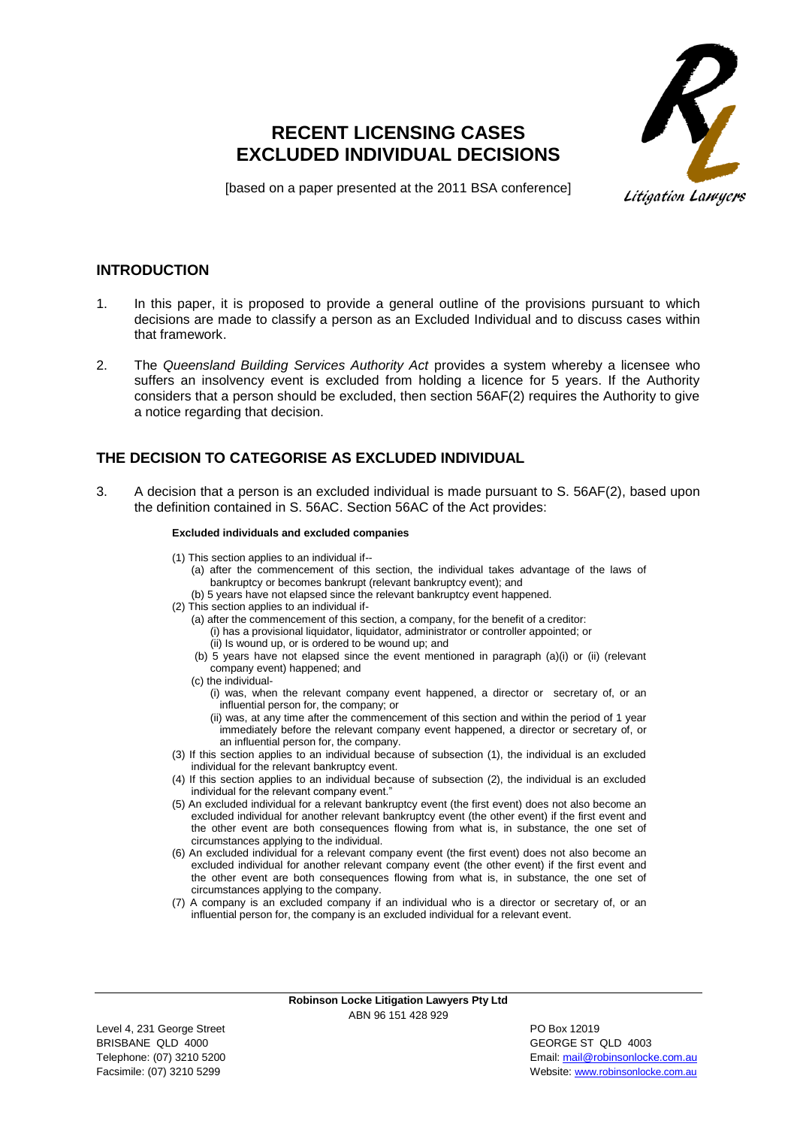# **RECENT LICENSING CASES EXCLUDED INDIVIDUAL DECISIONS**



[based on a paper presented at the 2011 BSA conference]

### **INTRODUCTION**

- 1. In this paper, it is proposed to provide a general outline of the provisions pursuant to which decisions are made to classify a person as an Excluded Individual and to discuss cases within that framework.
- 2. The *Queensland Building Services Authority Act* provides a system whereby a licensee who suffers an insolvency event is excluded from holding a licence for 5 years. If the Authority considers that a person should be excluded, then section 56AF(2) requires the Authority to give a notice regarding that decision.

# **THE DECISION TO CATEGORISE AS EXCLUDED INDIVIDUAL**

3. A decision that a person is an excluded individual is made pursuant to S. 56AF(2), based upon the definition contained in S. 56AC. Section 56AC of the Act provides:

#### **Excluded individuals and excluded companies**

- (1) This section applies to an individual if--
	- (a) after the commencement of this section, the individual takes advantage of the laws of bankruptcy or becomes bankrupt (relevant bankruptcy event); and
	- (b) 5 years have not elapsed since the relevant bankruptcy event happened.
- (2) This section applies to an individual if-
	- (a) after the commencement of this section, a company, for the benefit of a creditor:
		- (i) has a provisional liquidator, liquidator, administrator or controller appointed; or
		- (ii) Is wound up, or is ordered to be wound up; and
	- (b) 5 years have not elapsed since the event mentioned in paragraph (a)(i) or (ii) (relevant company event) happened; and
	- (c) the individual-
		- (i) was, when the relevant company event happened, a director or secretary of, or an influential person for, the company; or
		- (ii) was, at any time after the commencement of this section and within the period of 1 year immediately before the relevant company event happened, a director or secretary of, or an influential person for, the company.
- (3) If this section applies to an individual because of subsection (1), the individual is an excluded individual for the relevant bankruptcy event.
- (4) If this section applies to an individual because of subsection (2), the individual is an excluded individual for the relevant company event."
- (5) An excluded individual for a relevant bankruptcy event (the first event) does not also become an excluded individual for another relevant bankruptcy event (the other event) if the first event and the other event are both consequences flowing from what is, in substance, the one set of circumstances applying to the individual.
- (6) An excluded individual for a relevant company event (the first event) does not also become an excluded individual for another relevant company event (the other event) if the first event and the other event are both consequences flowing from what is, in substance, the one set of circumstances applying to the company.
- (7) A company is an excluded company if an individual who is a director or secretary of, or an influential person for, the company is an excluded individual for a relevant event.

**Robinson Locke Litigation Lawyers Pty Ltd** ABN 96 151 428 929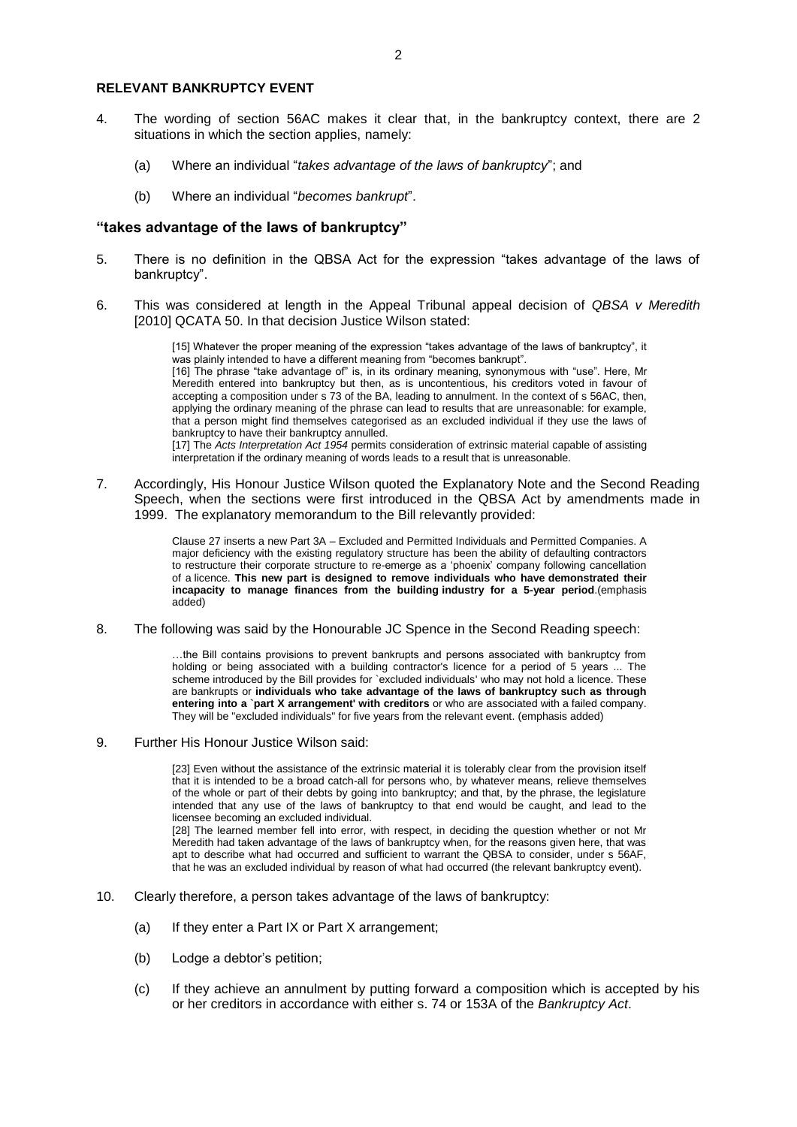#### **RELEVANT BANKRUPTCY EVENT**

- 4. The wording of section 56AC makes it clear that, in the bankruptcy context, there are 2 situations in which the section applies, namely:
	- (a) Where an individual "*takes advantage of the laws of bankruptcy*"; and
	- (b) Where an individual "*becomes bankrupt*".

#### **"takes advantage of the laws of bankruptcy"**

- 5. There is no definition in the QBSA Act for the expression "takes advantage of the laws of bankruptcy".
- 6. This was considered at length in the Appeal Tribunal appeal decision of *QBSA v Meredith* [2010] QCATA 50. In that decision Justice Wilson stated:

[15] Whatever the proper meaning of the expression "takes advantage of the laws of bankruptcy", it was plainly intended to have a different meaning from "becomes bankrupt". [16] The phrase "take advantage of" is, in its ordinary meaning, synonymous with "use". Here, Mr Meredith entered into bankruptcy but then, as is uncontentious, his creditors voted in favour of accepting a composition under s 73 of the BA, leading to annulment. In the context of s 56AC, then, applying the ordinary meaning of the phrase can lead to results that are unreasonable: for example, that a person might find themselves categorised as an excluded individual if they use the laws of bankruptcy to have their bankruptcy annulled. [17] The *[Acts Interpretation](http://www.austlii.edu.au/au/legis/qld/consol_act/aia1954230/) [Act 1954](http://www.austlii.edu.au/au/legis/qld/consol_act/aia1954230/)* permits consideration of extrinsic material capable of assisting

interpretation if the ordinary meaning of words leads to a result that is unreasonable.

7. Accordingly, His Honour Justice Wilson quoted the Explanatory Note and the Second Reading Speech, when the sections were first introduced in the QBSA Act by amendments made in 1999. The explanatory memorandum to the Bill relevantly provided:

> Clause 27 inserts a new Part 3A – Excluded and Permitted Individuals and Permitted Companies. A major deficiency with the existing regulatory structure has been the ability of defaulting contractors to restructure their corporate structure to re-emerge as a 'phoenix' company following cancellation of a licence. **This new part is designed to remove individuals who have demonstrated their incapacity to manage finances from the building industry for a 5-year period**.(emphasis added)

8. The following was said by the Honourable JC Spence in the Second Reading speech:

…the Bill contains provisions to prevent bankrupts and persons associated with bankruptcy from holding or being associated with a building contractor's licence for a period of 5 years ... The scheme introduced by the Bill provides for `excluded individuals' who may not hold a licence. These are bankrupts or **individuals who take advantage of the laws of bankruptcy such as through entering into a `part X arrangement' with creditors** or who are associated with a failed company. They will be "excluded individuals" for five years from the relevant event. (emphasis added)

9. Further His Honour Justice Wilson said:

[23] Even without the assistance of the extrinsic material it is tolerably clear from the provision itself that it is intended to be a broad catch-all for persons who, by whatever means, relieve themselves of the whole or part of their debts by going into bankruptcy; and that, by the phrase, the legislature intended that any use of the laws of bankruptcy to that end would be caught, and lead to the licensee becoming an excluded individual. [28] The learned member fell into error, with respect, in deciding the question whether or not Mr

Meredith had taken advantage of the laws of bankruptcy when, for the reasons given here, that was apt to describe what had occurred and sufficient to warrant the QBSA to consider, under s 56AF, that he was an excluded individual by reason of what had occurred (the relevant bankruptcy event).

- 10. Clearly therefore, a person takes advantage of the laws of bankruptcy:
	- (a) If they enter a Part IX or Part X arrangement;
	- (b) Lodge a debtor's petition;
	- (c) If they achieve an annulment by putting forward a composition which is accepted by his or her creditors in accordance with either s. 74 or 153A of the *Bankruptcy Act*.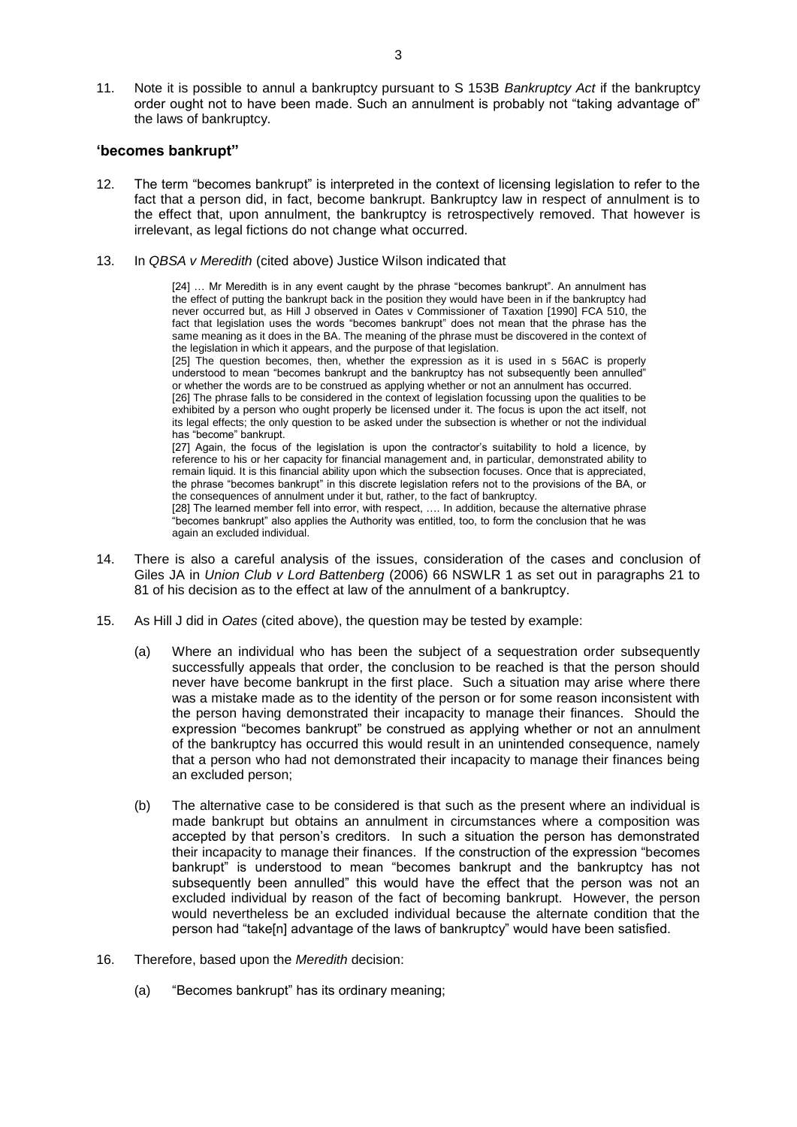11. Note it is possible to annul a bankruptcy pursuant to S 153B *Bankruptcy Act* if the bankruptcy order ought not to have been made. Such an annulment is probably not "taking advantage of" the laws of bankruptcy.

#### **'becomes bankrupt"**

- 12. The term "becomes bankrupt" is interpreted in the context of licensing legislation to refer to the fact that a person did, in fact, become bankrupt. Bankruptcy law in respect of annulment is to the effect that, upon annulment, the bankruptcy is retrospectively removed. That however is irrelevant, as legal fictions do not change what occurred.
- 13. In *QBSA v Meredith* (cited above) Justice Wilson indicated that

[24] … Mr Meredith is in any event caught by the phrase "becomes bankrupt". An annulment has the effect of putting the bankrupt back in the position they would have been in if the bankruptcy had never occurred but, as Hill J observed in Oates v Commissioner of Taxation [1990] FCA 510, the fact that legislation uses the words "becomes bankrupt" does not mean that the phrase has the same meaning as it does in the BA. The meaning of the phrase must be discovered in the context of the legislation in which it appears, and the purpose of that legislation.

[25] The question becomes, then, whether the expression as it is used in s 56AC is properly understood to mean "becomes bankrupt and the bankruptcy has not subsequently been annulled" or whether the words are to be construed as applying whether or not an annulment has occurred. [26] The phrase falls to be considered in the context of legislation focussing upon the qualities to be exhibited by a person who ought properly be licensed under it. The focus is upon the act itself, not its legal effects; the only question to be asked under the subsection is whether or not the individual has "become" bankrupt.

[27] Again, the focus of the legislation is upon the contractor's suitability to hold a licence, by reference to his or her capacity for financial management and, in particular, demonstrated ability to remain liquid. It is this financial ability upon which the subsection focuses. Once that is appreciated, the phrase "becomes bankrupt" in this discrete legislation refers not to the provisions of the BA, or the consequences of annulment under it but, rather, to the fact of bankruptcy.

[28] The learned member fell into error, with respect, …. In addition, because the alternative phrase "becomes bankrupt" also applies the Authority was entitled, too, to form the conclusion that he was again an excluded individual.

- 14. There is also a careful analysis of the issues, consideration of the cases and conclusion of Giles JA in *Union Club v Lord Battenberg* (2006) 66 NSWLR 1 as set out in paragraphs 21 to 81 of his decision as to the effect at law of the annulment of a bankruptcy.
- 15. As Hill J did in *Oates* (cited above), the question may be tested by example:
	- (a) Where an individual who has been the subject of a sequestration order subsequently successfully appeals that order, the conclusion to be reached is that the person should never have become bankrupt in the first place. Such a situation may arise where there was a mistake made as to the identity of the person or for some reason inconsistent with the person having demonstrated their incapacity to manage their finances. Should the expression "becomes bankrupt" be construed as applying whether or not an annulment of the bankruptcy has occurred this would result in an unintended consequence, namely that a person who had not demonstrated their incapacity to manage their finances being an excluded person;
	- (b) The alternative case to be considered is that such as the present where an individual is made bankrupt but obtains an annulment in circumstances where a composition was accepted by that person's creditors. In such a situation the person has demonstrated their incapacity to manage their finances. If the construction of the expression "becomes bankrupt" is understood to mean "becomes bankrupt and the bankruptcy has not subsequently been annulled" this would have the effect that the person was not an excluded individual by reason of the fact of becoming bankrupt. However, the person would nevertheless be an excluded individual because the alternate condition that the person had "take[n] advantage of the laws of bankruptcy" would have been satisfied.
- 16. Therefore, based upon the *Meredith* decision:
	- (a) "Becomes bankrupt" has its ordinary meaning;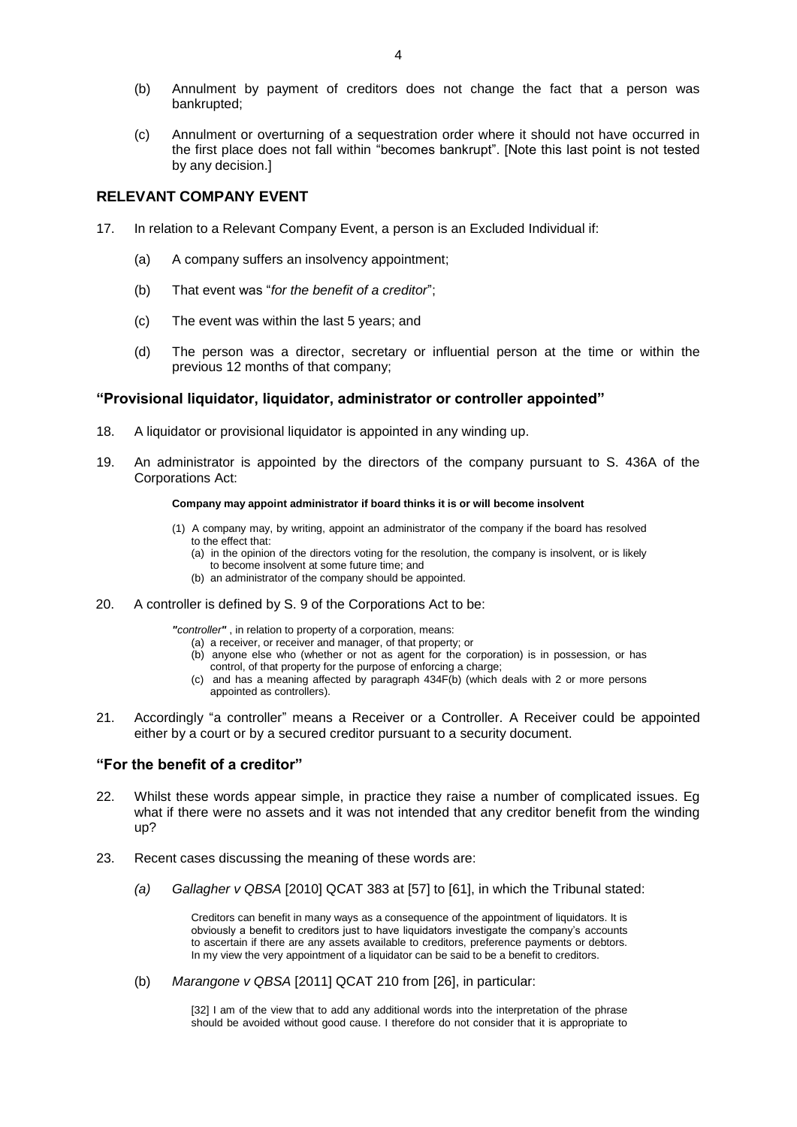(c) Annulment or overturning of a sequestration order where it should not have occurred in the first place does not fall within "becomes bankrupt". [Note this last point is not tested by any decision.]

# **RELEVANT COMPANY EVENT**

- 17. In relation to a Relevant Company Event, a person is an Excluded Individual if:
	- (a) A company suffers an insolvency appointment;
	- (b) That event was "*for the benefit of a creditor*";
	- (c) The event was within the last 5 years; and
	- (d) The person was a director, secretary or influential person at the time or within the previous 12 months of that company;

### **"Provisional liquidator, liquidator, administrator or controller appointed"**

- 18. A liquidator or provisional liquidator is appointed in any winding up.
- 19. An administrator is appointed by the directors of the company pursuant to S. 436A of the Corporations Act:

#### **Company may appoint administrator if board thinks it is or will become insolvent**

- (1) A [company](http://www.austlii.edu.au/au/legis/cth/consol_act/ca2001172/s9.html#company) may, by writing, appoint an [administrator](http://www.austlii.edu.au/au/legis/cth/consol_act/ca2001172/s9.html#administrator) of the [company](http://www.austlii.edu.au/au/legis/cth/consol_act/ca2001172/s9.html#company) if the [board](http://www.austlii.edu.au/au/legis/cth/consol_act/ca2001172/s9.html#board) has resolved to the effect that:
	- (a) in the opinion of the [directors](http://www.austlii.edu.au/au/legis/cth/consol_act/ca2001172/s9.html#director) voting for the resolution, th[e company](http://www.austlii.edu.au/au/legis/cth/consol_act/ca2001172/s9.html#company) is [insolvent,](http://www.austlii.edu.au/au/legis/cth/consol_act/ca2001172/s9.html#insolvent) or is likely to becom[e insolvent](http://www.austlii.edu.au/au/legis/cth/consol_act/ca2001172/s9.html#insolvent) at some future time; and
	- (b) a[n administrator](http://www.austlii.edu.au/au/legis/cth/consol_act/ca2001172/s9.html#administrator) of the [company](http://www.austlii.edu.au/au/legis/cth/consol_act/ca2001172/s9.html#company) should be appointed.
- 20. A controller is defined by S. 9 of the Corporations Act to be:

*"controller"* , in relation t[o property](http://www.austlii.edu.au/au/legis/cth/consol_act/ca2001172/s9.html#property) of a [corporation,](http://www.austlii.edu.au/au/legis/cth/consol_act/ca2001172/s9.html#corporation) means:

- (a) a [receiver,](http://www.austlii.edu.au/au/legis/cth/consol_act/ca2001172/s9.html#receiver) or [receiver and manager,](http://www.austlii.edu.au/au/legis/cth/consol_act/ca2001172/s9.html#receiver_and_manager) of that [property;](http://www.austlii.edu.au/au/legis/cth/consol_act/ca2001172/s9.html#property) or
- (b) anyone else who (whether or not as agent for the [corporation\)](http://www.austlii.edu.au/au/legis/cth/consol_act/ca2001172/s9.html#corporation) is in [possession,](http://www.austlii.edu.au/au/legis/cth/consol_act/ca2001172/s9.html#possession) or has [control,](http://www.austlii.edu.au/au/legis/cth/consol_act/ca2001172/s9.html#control) of that [property](http://www.austlii.edu.au/au/legis/cth/consol_act/ca2001172/s9.html#property) for the purpose of enforcing [a charge;](http://www.austlii.edu.au/au/legis/cth/consol_act/ca2001172/s9.html#charge)
- (c) and has a meaning affected by paragraph 434F(b) (which [deals](http://www.austlii.edu.au/au/legis/cth/consol_act/ca2001172/s9.html#deal) with 2 or more [persons](http://www.austlii.edu.au/au/legis/cth/consol_act/ca2001172/s9.html#person) appointed as [controllers\)](http://www.austlii.edu.au/au/legis/cth/consol_act/ca2001172/s9.html#controller).
- 21. Accordingly "a controller" means a Receiver or a Controller. A Receiver could be appointed either by a court or by a secured creditor pursuant to a security document.

### **"For the benefit of a creditor"**

- 22. Whilst these words appear simple, in practice they raise a number of complicated issues. Eg what if there were no assets and it was not intended that any creditor benefit from the winding up?
- 23. Recent cases discussing the meaning of these words are:
	- *(a) Gallagher v QBSA* [2010] QCAT 383 at [57] to [61], in which the Tribunal stated:

Creditors can benefit in many ways as a consequence of the appointment of liquidators. It is obviously a benefit to creditors just to have liquidators investigate the company's accounts to ascertain if there are any assets available to creditors, preference payments or debtors. In my view the very appointment of a liquidator can be said to be a benefit to creditors.

(b) *Marangone v QBSA* [2011] QCAT 210 from [26], in particular:

[32] I am of the view that to add any additional words into the interpretation of the phrase should be avoided without good cause. I therefore do not consider that it is appropriate to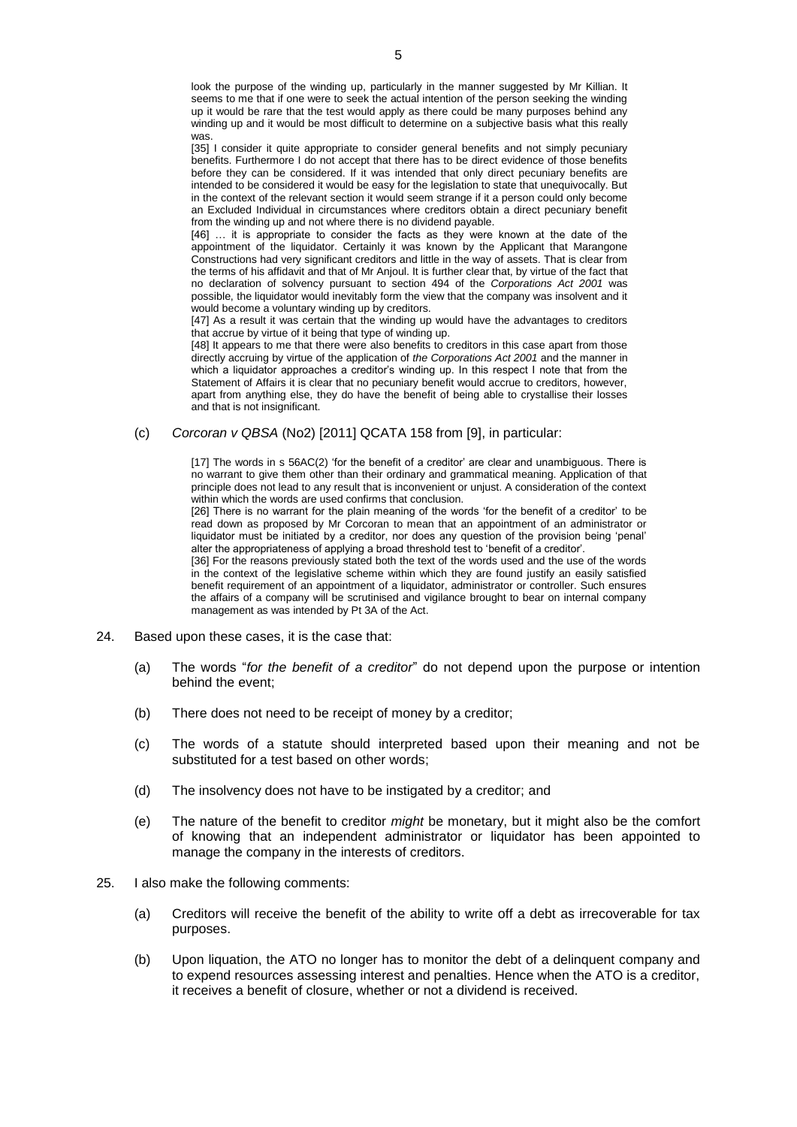look the purpose of the winding up, particularly in the manner suggested by Mr Killian. It seems to me that if one were to seek the actual intention of the person seeking the winding up it would be rare that the test would apply as there could be many purposes behind any winding up and it would be most difficult to determine on a subjective basis what this really was.

[35] I consider it quite appropriate to consider general benefits and not simply pecuniary benefits. Furthermore I do not accept that there has to be direct evidence of those benefits before they can be considered. If it was intended that only direct pecuniary benefits are intended to be considered it would be easy for the legislation to state that unequivocally. But in the context of the relevant section it would seem strange if it a person could only become an Excluded Individual in circumstances where creditors obtain a direct pecuniary benefit from the winding up and not where there is no dividend payable.

[46] … it is appropriate to consider the facts as they were known at the date of the appointment of the liquidator. Certainly it was known by the Applicant that Marangone Constructions had very significant creditors and little in the way of assets. That is clear from the terms of his affidavit and that of Mr Anjoul. It is further clear that, by virtue of the fact that no declaration of solvency pursuant to [section 494](http://www.austlii.edu.au/au/legis/cth/consol_act/ca2001172/s494.html) of the *[Corporations Act 2001](http://www.austlii.edu.au/au/legis/cth/consol_act/ca2001172/)* was possible, the liquidator would inevitably form the view that the company was insolvent and it would become a voluntary winding up by creditors.

[47] As a result it was certain that the winding up would have the advantages to creditors that accrue by virtue of it being that type of winding up.

[48] It appears to me that there were also benefits to creditors in this case apart from those directly accruing by virtue of the application of *th[e Corporations Act 2001](http://www.austlii.edu.au/au/legis/cth/consol_act/ca2001172/)* and the manner in which a liquidator approaches a creditor's winding up. In this respect I note that from the Statement of Affairs it is clear that no pecuniary benefit would accrue to creditors, however, apart from anything else, they do have the benefit of being able to crystallise their losses and that is not insignificant.

#### (c) *Corcoran v QBSA* (No2) [2011] QCATA 158 from [9], in particular:

[17] The words in [s 56AC\(2\)](http://www.austlii.edu.au/au/legis/qld/consol_act/qbsaa1991413/s56ac.html) 'for the benefit of a creditor' are clear and unambiguous. There is no warrant to give them other than their ordinary and grammatical meaning. Application of that principle does not lead to any result that is inconvenient or unjust. A consideration of the context within which the words are used confirms that conclusion.

[26] There is no warrant for the plain meaning of the words 'for the benefit of a creditor' to be read down as proposed by Mr Corcoran to mean that an appointment of an administrator or liquidator must be initiated by a creditor, nor does any question of the provision being 'penal' alter the appropriateness of applying a broad threshold test to 'benefit of a creditor'.

[36] For the reasons previously stated both the text of the words used and the use of the words in the context of the legislative scheme within which they are found justify an easily satisfied benefit requirement of an appointment of a liquidator, administrator or controller. Such ensures the affairs of a company will be scrutinised and vigilance brought to bear on internal company management as was intended by Pt 3A of the Act.

- 24. Based upon these cases, it is the case that:
	- (a) The words "*for the benefit of a creditor*" do not depend upon the purpose or intention behind the event;
	- (b) There does not need to be receipt of money by a creditor;
	- (c) The words of a statute should interpreted based upon their meaning and not be substituted for a test based on other words;
	- (d) The insolvency does not have to be instigated by a creditor; and
	- (e) The nature of the benefit to creditor *might* be monetary, but it might also be the comfort of knowing that an independent administrator or liquidator has been appointed to manage the company in the interests of creditors.
- 25. I also make the following comments:
	- (a) Creditors will receive the benefit of the ability to write off a debt as irrecoverable for tax purposes.
	- (b) Upon liquation, the ATO no longer has to monitor the debt of a delinquent company and to expend resources assessing interest and penalties. Hence when the ATO is a creditor, it receives a benefit of closure, whether or not a dividend is received.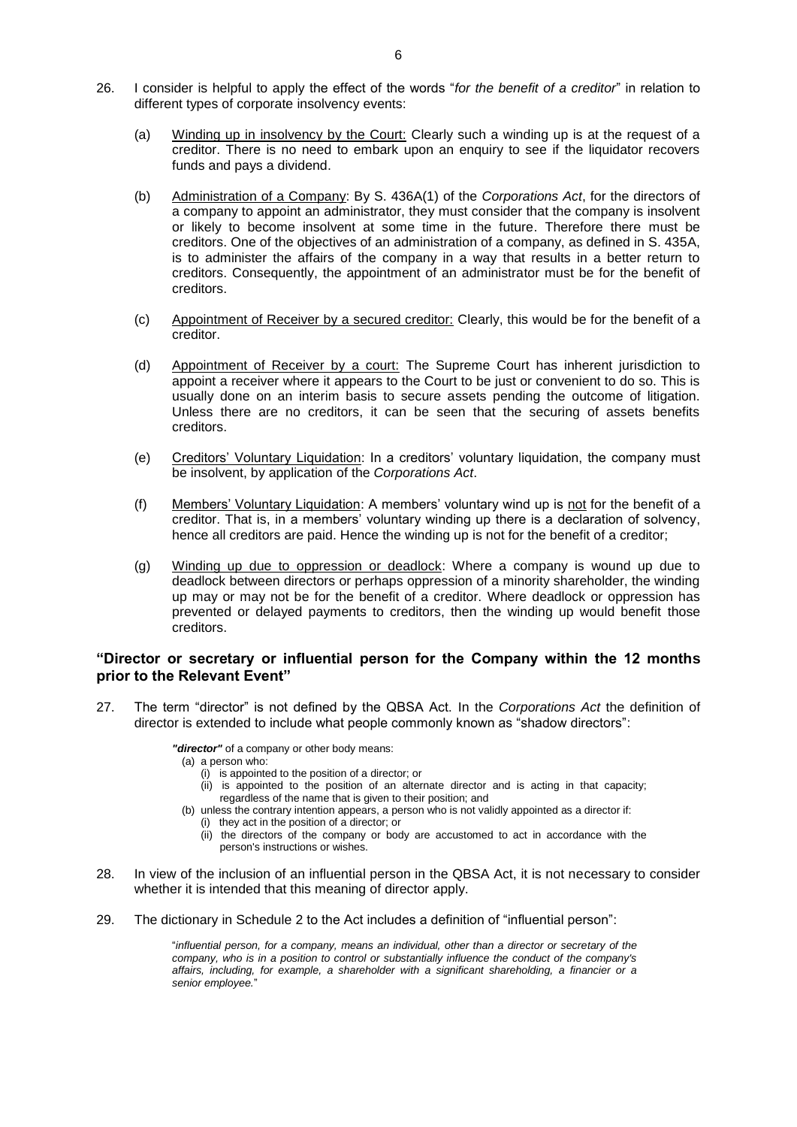- 26. I consider is helpful to apply the effect of the words "*for the benefit of a creditor*" in relation to different types of corporate insolvency events:
	- (a) Winding up in insolvency by the Court: Clearly such a winding up is at the request of a creditor. There is no need to embark upon an enquiry to see if the liquidator recovers funds and pays a dividend.
	- (b) Administration of a Company: By S. 436A(1) of the *Corporations Act*, for the directors of a company to appoint an administrator, they must consider that the company is insolvent or likely to become insolvent at some time in the future. Therefore there must be creditors. One of the objectives of an administration of a company, as defined in S. 435A, is to administer the affairs of the company in a way that results in a better return to creditors. Consequently, the appointment of an administrator must be for the benefit of creditors.
	- (c) Appointment of Receiver by a secured creditor: Clearly, this would be for the benefit of a creditor.
	- (d) Appointment of Receiver by a court: The Supreme Court has inherent jurisdiction to appoint a receiver where it appears to the Court to be just or convenient to do so. This is usually done on an interim basis to secure assets pending the outcome of litigation. Unless there are no creditors, it can be seen that the securing of assets benefits creditors.
	- (e) Creditors' Voluntary Liquidation: In a creditors' voluntary liquidation, the company must be insolvent, by application of the *Corporations Act*.
	- (f) Members' Voluntary Liquidation: A members' voluntary wind up is not for the benefit of a creditor. That is, in a members' voluntary winding up there is a declaration of solvency, hence all creditors are paid. Hence the winding up is not for the benefit of a creditor;
	- (g) Winding up due to oppression or deadlock: Where a company is wound up due to deadlock between directors or perhaps oppression of a minority shareholder, the winding up may or may not be for the benefit of a creditor. Where deadlock or oppression has prevented or delayed payments to creditors, then the winding up would benefit those creditors.

#### **"Director or secretary or influential person for the Company within the 12 months prior to the Relevant Event"**

27. The term "director" is not defined by the QBSA Act. In the *Corporations Act* the definition of director is extended to include what people commonly known as "shadow directors":

*"director"* of a [company](http://www.austlii.edu.au/au/legis/cth/consol_act/ca2001172/s9.html#company) or othe[r body](http://www.austlii.edu.au/au/legis/cth/consol_act/ca2001172/s9.html#body) means:

- (a) [a person](http://www.austlii.edu.au/au/legis/cth/consol_act/ca2001172/s9.html#person) who:
	- (i) is appointed to the position of [a director;](http://www.austlii.edu.au/au/legis/cth/consol_act/ca2001172/s9.html#director) or
	- (ii) is appointed to the position of an alternate [director](http://www.austlii.edu.au/au/legis/cth/consol_act/ca2001172/s9.html#director) and is acting in that capacity; regardless of the name that is given to their position; and
- (b) unless the contrary intention appears, [a person](http://www.austlii.edu.au/au/legis/cth/consol_act/ca2001172/s9.html#person) who is not validly appointed as [a director](http://www.austlii.edu.au/au/legis/cth/consol_act/ca2001172/s9.html#director) if:
	- (i) they act in the position of [a director;](http://www.austlii.edu.au/au/legis/cth/consol_act/ca2001172/s9.html#director) or
	- (ii) the [directors](http://www.austlii.edu.au/au/legis/cth/consol_act/ca2001172/s9.html#director) of the [company](http://www.austlii.edu.au/au/legis/cth/consol_act/ca2001172/s9.html#company) or [body](http://www.austlii.edu.au/au/legis/cth/consol_act/ca2001172/s9.html#body) are accustomed to act in accordance with the [person's](http://www.austlii.edu.au/au/legis/cth/consol_act/ca2001172/s9.html#person) instructions or wishes.
- 28. In view of the inclusion of an influential person in the QBSA Act, it is not necessary to consider whether it is intended that this meaning of director apply.
- 29. The dictionary in Schedule 2 to the Act includes a definition of "influential person":

"*influential person, for a company, means an individual, other than a director or secretary of the company, who is in a position to control or substantially influence the conduct of the company's affairs, including, for example, a shareholder with a significant shareholding, a financier or a*  senior employee.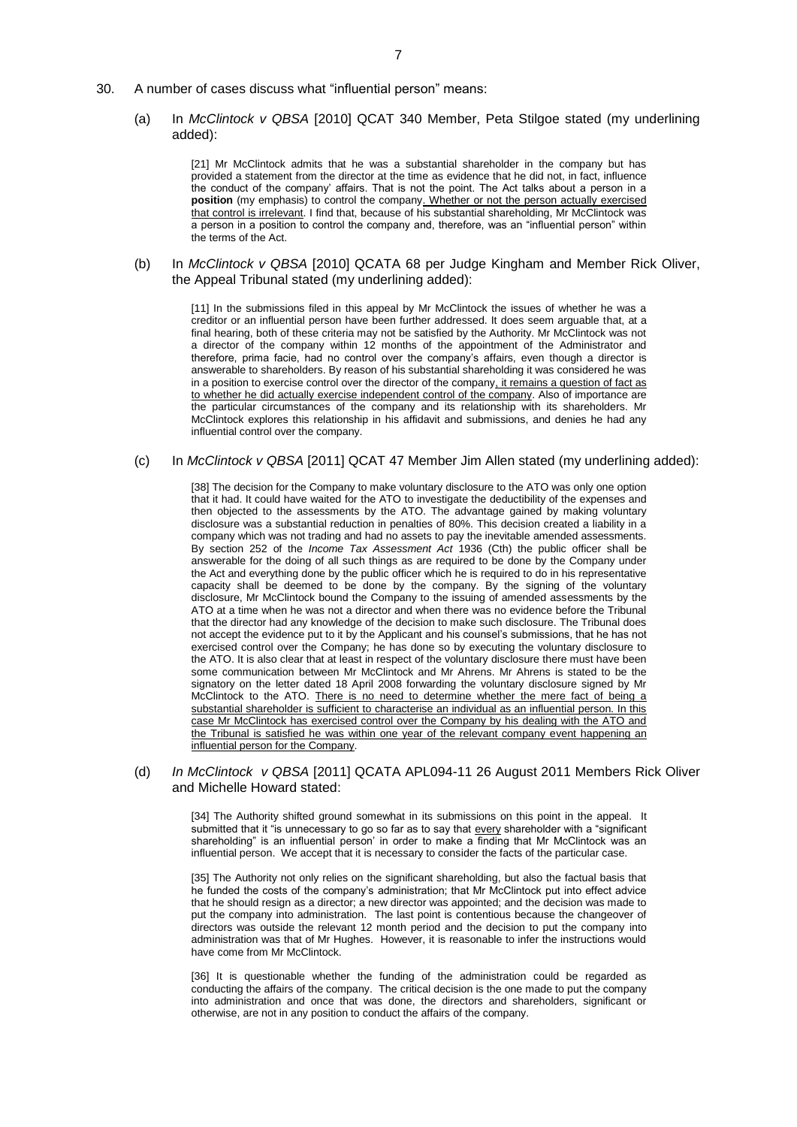- 30. A number of cases discuss what "influential person" means:
	- (a) In *McClintock v QBSA* [2010] QCAT 340 Member, Peta Stilgoe stated (my underlining added):

[21] Mr McClintock admits that he was a substantial shareholder in the company but has provided a statement from the director at the time as evidence that he did not, in fact, influence the conduct of the company' affairs. That is not the point. The Act talks about a person in a **position** (my emphasis) to control the company. Whether or not the person actually exercised that control is irrelevant. I find that, because of his substantial shareholding, Mr McClintock was a person in a position to control the company and, therefore, was an "influential person" within the terms of the Act.

(b) In *McClintock v QBSA* [2010] QCATA 68 per Judge Kingham and Member Rick Oliver, the Appeal Tribunal stated (my underlining added):

[11] In the submissions filed in this appeal by Mr McClintock the issues of whether he was a creditor or an influential person have been further addressed. It does seem arguable that, at a final hearing, both of these criteria may not be satisfied by the Authority. Mr McClintock was not a director of the company within 12 months of the appointment of the Administrator and therefore, prima facie, had no control over the company's affairs, even though a director is answerable to shareholders. By reason of his substantial shareholding it was considered he was in a position to exercise control over the director of the company, it remains a question of fact as to whether he did actually exercise independent control of the company. Also of importance are the particular circumstances of the company and its relationship with its shareholders. Mr McClintock explores this relationship in his affidavit and submissions, and denies he had any influential control over the company.

(c) In *McClintock v QBSA* [2011] QCAT 47 Member Jim Allen stated (my underlining added):

[38] The decision for the Company to make voluntary disclosure to the ATO was only one option that it had. It could have waited for the ATO to investigate the deductibility of the expenses and then objected to the assessments by the ATO. The advantage gained by making voluntary disclosure was a substantial reduction in penalties of 80%. This decision created a liability in a company which was not trading and had no assets to pay the inevitable amended assessments. By [section 252](http://www.austlii.edu.au/au/legis/cth/consol_act/itaa1936240/s252.html) of the *[Income Tax Assessment Act](http://www.austlii.edu.au/au/legis/cth/consol_act/itaa1936240/)* 1936 (Cth) the public officer shall be answerable for the doing of all such things as are required to be done by the Company under the Act and everything done by the public officer which he is required to do in his representative capacity shall be deemed to be done by the company. By the signing of the voluntary disclosure, Mr McClintock bound the Company to the issuing of amended assessments by the ATO at a time when he was not a director and when there was no evidence before the Tribunal that the director had any knowledge of the decision to make such disclosure. The Tribunal does not accept the evidence put to it by the Applicant and his counsel's submissions, that he has not exercised control over the Company; he has done so by executing the voluntary disclosure to the ATO. It is also clear that at least in respect of the voluntary disclosure there must have been some communication between Mr McClintock and Mr Ahrens. Mr Ahrens is stated to be the signatory on the letter dated 18 April 2008 forwarding the voluntary disclosure signed by Mr McClintock to the ATO. There is no need to determine whether the mere fact of being a substantial shareholder is sufficient to characterise an individual as an influential person. In this case Mr McClintock has exercised control over the Company by his dealing with the ATO and the Tribunal is satisfied he was within one year of the relevant company event happening an influential person for the Company.

#### (d) *In McClintock v QBSA* [2011] QCATA APL094-11 26 August 2011 Members Rick Oliver and Michelle Howard stated:

[34] The Authority shifted ground somewhat in its submissions on this point in the appeal. It submitted that it "is unnecessary to go so far as to say that every shareholder with a "significant shareholding" is an influential person' in order to make a finding that Mr McClintock was an influential person. We accept that it is necessary to consider the facts of the particular case.

[35] The Authority not only relies on the significant shareholding, but also the factual basis that he funded the costs of the company's administration; that Mr McClintock put into effect advice that he should resign as a director; a new director was appointed; and the decision was made to put the company into administration. The last point is contentious because the changeover of directors was outside the relevant 12 month period and the decision to put the company into administration was that of Mr Hughes. However, it is reasonable to infer the instructions would have come from Mr McClintock.

[36] It is questionable whether the funding of the administration could be regarded as conducting the affairs of the company. The critical decision is the one made to put the company into administration and once that was done, the directors and shareholders, significant or otherwise, are not in any position to conduct the affairs of the company.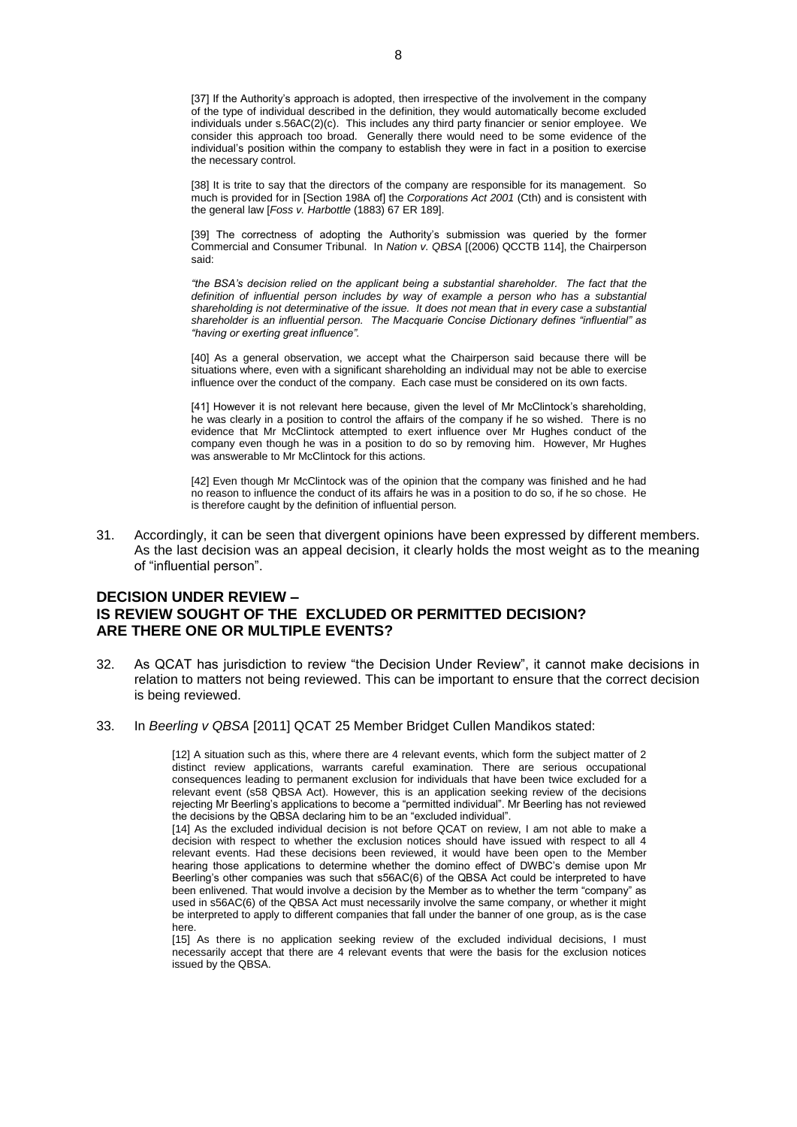[37] If the Authority's approach is adopted, then irrespective of the involvement in the company of the type of individual described in the definition, they would automatically become excluded individuals under s.56AC(2)(c). This includes any third party financier or senior employee. We consider this approach too broad. Generally there would need to be some evidence of the individual's position within the company to establish they were in fact in a position to exercise the necessary control.

[38] It is trite to say that the directors of the company are responsible for its management. So much is provided for in [Section 198A of] the *Corporations Act 2001* (Cth) and is consistent with the general law [*Foss v. Harbottle* (1883) 67 ER 189].

[39] The correctness of adopting the Authority's submission was queried by the former Commercial and Consumer Tribunal. In *Nation v. QBSA* [(2006) QCCTB 114], the Chairperson said:

*"the BSA's decision relied on the applicant being a substantial shareholder. The fact that the definition of influential person includes by way of example a person who has a substantial shareholding is not determinative of the issue. It does not mean that in every case a substantial shareholder is an influential person. The Macquarie Concise Dictionary defines "influential" as "having or exerting great influence".* 

[40] As a general observation, we accept what the Chairperson said because there will be situations where, even with a significant shareholding an individual may not be able to exercise influence over the conduct of the company. Each case must be considered on its own facts.

[41] However it is not relevant here because, given the level of Mr McClintock's shareholding, he was clearly in a position to control the affairs of the company if he so wished. There is no evidence that Mr McClintock attempted to exert influence over Mr Hughes conduct of the company even though he was in a position to do so by removing him. However, Mr Hughes was answerable to Mr McClintock for this actions.

[42] Even though Mr McClintock was of the opinion that the company was finished and he had no reason to influence the conduct of its affairs he was in a position to do so, if he so chose. He is therefore caught by the definition of influential person.

31. Accordingly, it can be seen that divergent opinions have been expressed by different members. As the last decision was an appeal decision, it clearly holds the most weight as to the meaning of "influential person".

### **DECISION UNDER REVIEW – IS REVIEW SOUGHT OF THE EXCLUDED OR PERMITTED DECISION? ARE THERE ONE OR MULTIPLE EVENTS?**

- 32. As QCAT has jurisdiction to review "the Decision Under Review", it cannot make decisions in relation to matters not being reviewed. This can be important to ensure that the correct decision is being reviewed.
- 33. In *Beerling v QBSA* [2011] QCAT 25 Member Bridget Cullen Mandikos stated:

[12] A situation such as this, where there are 4 relevant events, which form the subject matter of 2 distinct review applications, warrants careful examination. There are serious occupational consequences leading to permanent exclusion for individuals that have been twice excluded for a relevant event (s58 QBSA Act). However, this is an application seeking review of the decisions rejecting Mr Beerling's applications to become a "permitted individual". Mr Beerling has not reviewed the decisions by the QBSA declaring him to be an "excluded individual".

[14] As the excluded individual decision is not before QCAT on review, I am not able to make a decision with respect to whether the exclusion notices should have issued with respect to all 4 relevant events. Had these decisions been reviewed, it would have been open to the Member hearing those applications to determine whether the domino effect of DWBC's demise upon Mr Beerling's other companies was such that s56AC(6) of the QBSA Act could be interpreted to have been enlivened. That would involve a decision by the Member as to whether the term "company" as used in s56AC(6) of the QBSA Act must necessarily involve the same company, or whether it might be interpreted to apply to different companies that fall under the banner of one group, as is the case here.

[15] As there is no application seeking review of the excluded individual decisions, I must necessarily accept that there are 4 relevant events that were the basis for the exclusion notices issued by the QBSA.